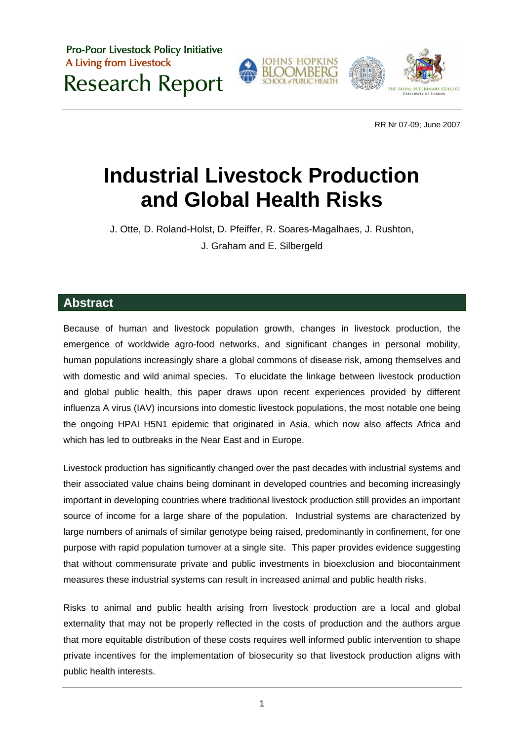Pro-Poor Livestock Policy Initiative A Living from Livestock Research Report



RR Nr 07-09; June 2007

# **Industrial Livestock Production and Global Health Risks**

J. Otte, D. Roland-Holst, D. Pfeiffer, R. Soares-Magalhaes, J. Rushton, J. Graham and E. Silbergeld

## **Abstract**

Because of human and livestock population growth, changes in livestock production, the emergence of worldwide agro-food networks, and significant changes in personal mobility, human populations increasingly share a global commons of disease risk, among themselves and with domestic and wild animal species. To elucidate the linkage between livestock production and global public health, this paper draws upon recent experiences provided by different influenza A virus (IAV) incursions into domestic livestock populations, the most notable one being the ongoing HPAI H5N1 epidemic that originated in Asia, which now also affects Africa and which has led to outbreaks in the Near East and in Europe.

Livestock production has significantly changed over the past decades with industrial systems and their associated value chains being dominant in developed countries and becoming increasingly important in developing countries where traditional livestock production still provides an important source of income for a large share of the population. Industrial systems are characterized by large numbers of animals of similar genotype being raised, predominantly in confinement, for one purpose with rapid population turnover at a single site. This paper provides evidence suggesting that without commensurate private and public investments in bioexclusion and biocontainment measures these industrial systems can result in increased animal and public health risks.

Risks to animal and public health arising from livestock production are a local and global externality that may not be properly reflected in the costs of production and the authors argue that more equitable distribution of these costs requires well informed public intervention to shape private incentives for the implementation of biosecurity so that livestock production aligns with public health interests.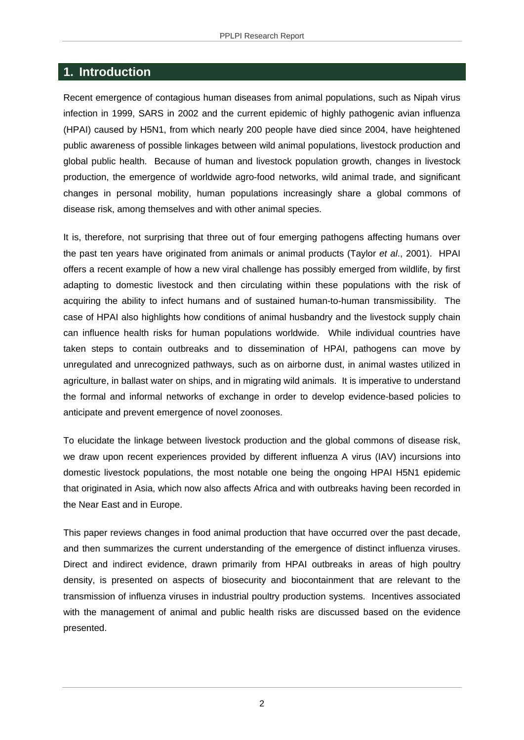# **1. Introduction**

Recent emergence of contagious human diseases from animal populations, such as Nipah virus infection in 1999, SARS in 2002 and the current epidemic of highly pathogenic avian influenza (HPAI) caused by H5N1, from which nearly 200 people have died since 2004, have heightened public awareness of possible linkages between wild animal populations, livestock production and global public health. Because of human and livestock population growth, changes in livestock production, the emergence of worldwide agro-food networks, wild animal trade, and significant changes in personal mobility, human populations increasingly share a global commons of disease risk, among themselves and with other animal species.

It is, therefore, not surprising that three out of four emerging pathogens affecting humans over the past ten years have originated from animals or animal products (Taylor *et al*., 2001). HPAI offers a recent example of how a new viral challenge has possibly emerged from wildlife, by first adapting to domestic livestock and then circulating within these populations with the risk of acquiring the ability to infect humans and of sustained human-to-human transmissibility. The case of HPAI also highlights how conditions of animal husbandry and the livestock supply chain can influence health risks for human populations worldwide. While individual countries have taken steps to contain outbreaks and to dissemination of HPAI, pathogens can move by unregulated and unrecognized pathways, such as on airborne dust, in animal wastes utilized in agriculture, in ballast water on ships, and in migrating wild animals. It is imperative to understand the formal and informal networks of exchange in order to develop evidence-based policies to anticipate and prevent emergence of novel zoonoses.

To elucidate the linkage between livestock production and the global commons of disease risk, we draw upon recent experiences provided by different influenza A virus (IAV) incursions into domestic livestock populations, the most notable one being the ongoing HPAI H5N1 epidemic that originated in Asia, which now also affects Africa and with outbreaks having been recorded in the Near East and in Europe.

This paper reviews changes in food animal production that have occurred over the past decade, and then summarizes the current understanding of the emergence of distinct influenza viruses. Direct and indirect evidence, drawn primarily from HPAI outbreaks in areas of high poultry density, is presented on aspects of biosecurity and biocontainment that are relevant to the transmission of influenza viruses in industrial poultry production systems. Incentives associated with the management of animal and public health risks are discussed based on the evidence presented.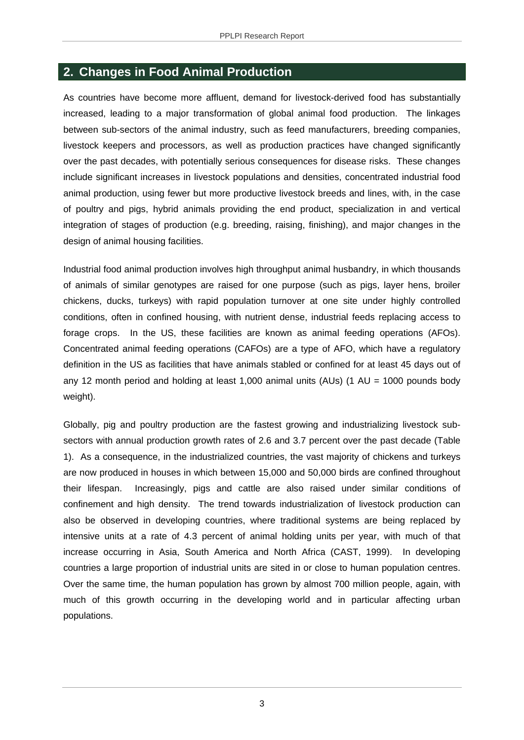### **2. Changes in Food Animal Production**

As countries have become more affluent, demand for livestock-derived food has substantially increased, leading to a major transformation of global animal food production. The linkages between sub-sectors of the animal industry, such as feed manufacturers, breeding companies, livestock keepers and processors, as well as production practices have changed significantly over the past decades, with potentially serious consequences for disease risks. These changes include significant increases in livestock populations and densities, concentrated industrial food animal production, using fewer but more productive livestock breeds and lines, with, in the case of poultry and pigs, hybrid animals providing the end product, specialization in and vertical integration of stages of production (e.g. breeding, raising, finishing), and major changes in the design of animal housing facilities.

Industrial food animal production involves high throughput animal husbandry, in which thousands of animals of similar genotypes are raised for one purpose (such as pigs, layer hens, broiler chickens, ducks, turkeys) with rapid population turnover at one site under highly controlled conditions, often in confined housing, with nutrient dense, industrial feeds replacing access to forage crops. In the US, these facilities are known as animal feeding operations (AFOs). Concentrated animal feeding operations (CAFOs) are a type of AFO, which have a regulatory definition in the US as facilities that have animals stabled or confined for at least 45 days out of any 12 month period and holding at least 1,000 animal units (AUs) (1 AU = 1000 pounds body weight).

Globally, pig and poultry production are the fastest growing and industrializing livestock subsectors with annual production growth rates of 2.6 and 3.7 percent over the past decade (Table 1). As a consequence, in the industrialized countries, the vast majority of chickens and turkeys are now produced in houses in which between 15,000 and 50,000 birds are confined throughout their lifespan. Increasingly, pigs and cattle are also raised under similar conditions of confinement and high density. The trend towards industrialization of livestock production can also be observed in developing countries, where traditional systems are being replaced by intensive units at a rate of 4.3 percent of animal holding units per year, with much of that increase occurring in Asia, South America and North Africa (CAST, 1999). In developing countries a large proportion of industrial units are sited in or close to human population centres. Over the same time, the human population has grown by almost 700 million people, again, with much of this growth occurring in the developing world and in particular affecting urban populations.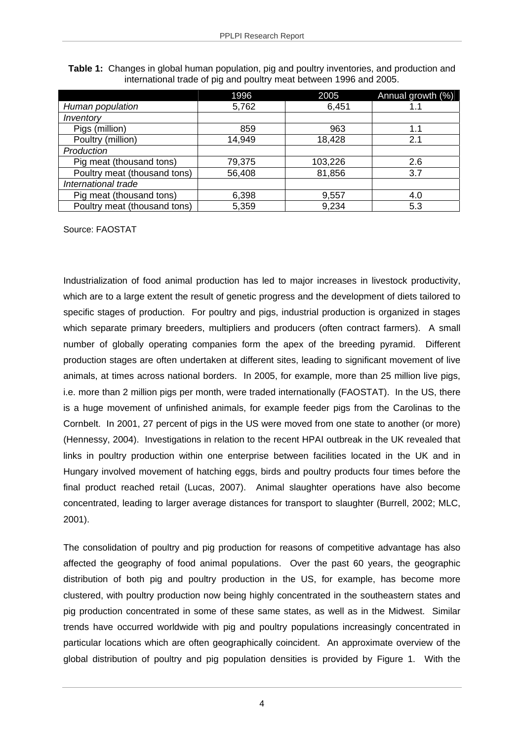|                              | 1996   | 2005    | Annual growth (%) |
|------------------------------|--------|---------|-------------------|
| Human population             | 5,762  | 6,451   | 1.1               |
| Inventory                    |        |         |                   |
| Pigs (million)               | 859    | 963     | 1.1               |
| Poultry (million)            | 14,949 | 18,428  | 2.1               |
| Production                   |        |         |                   |
| Pig meat (thousand tons)     | 79,375 | 103,226 | 2.6               |
| Poultry meat (thousand tons) | 56,408 | 81,856  | 3.7               |
| International trade          |        |         |                   |
| Pig meat (thousand tons)     | 6,398  | 9,557   | 4.0               |
| Poultry meat (thousand tons) | 5,359  | 9,234   | 5.3               |

**Table 1:** Changes in global human population, pig and poultry inventories, and production and international trade of pig and poultry meat between 1996 and 2005.

Source: FAOSTAT

Industrialization of food animal production has led to major increases in livestock productivity, which are to a large extent the result of genetic progress and the development of diets tailored to specific stages of production. For poultry and pigs, industrial production is organized in stages which separate primary breeders, multipliers and producers (often contract farmers). A small number of globally operating companies form the apex of the breeding pyramid. Different production stages are often undertaken at different sites, leading to significant movement of live animals, at times across national borders. In 2005, for example, more than 25 million live pigs, i.e. more than 2 million pigs per month, were traded internationally (FAOSTAT). In the US, there is a huge movement of unfinished animals, for example feeder pigs from the Carolinas to the Cornbelt. In 2001, 27 percent of pigs in the US were moved from one state to another (or more) (Hennessy, 2004). Investigations in relation to the recent HPAI outbreak in the UK revealed that links in poultry production within one enterprise between facilities located in the UK and in Hungary involved movement of hatching eggs, birds and poultry products four times before the final product reached retail (Lucas, 2007). Animal slaughter operations have also become concentrated, leading to larger average distances for transport to slaughter (Burrell, 2002; MLC, 2001).

The consolidation of poultry and pig production for reasons of competitive advantage has also affected the geography of food animal populations. Over the past 60 years, the geographic distribution of both pig and poultry production in the US, for example, has become more clustered, with poultry production now being highly concentrated in the southeastern states and pig production concentrated in some of these same states, as well as in the Midwest. Similar trends have occurred worldwide with pig and poultry populations increasingly concentrated in particular locations which are often geographically coincident. An approximate overview of the global distribution of poultry and pig population densities is provided by Figure 1. With the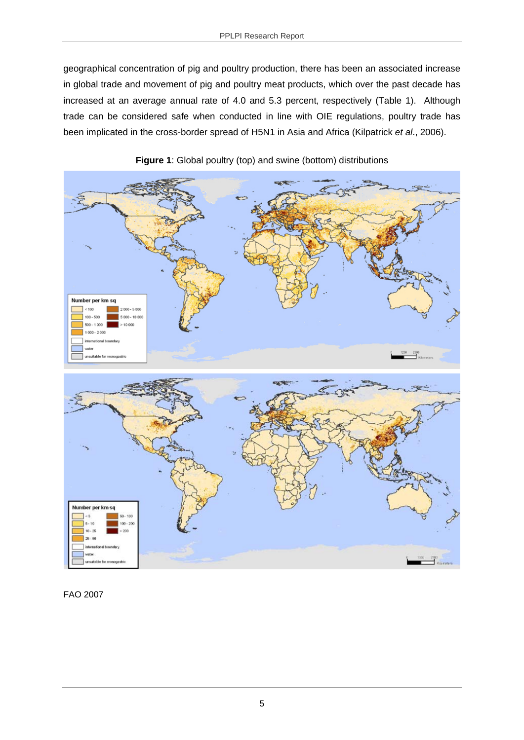geographical concentration of pig and poultry production, there has been an associated increase in global trade and movement of pig and poultry meat products, which over the past decade has increased at an average annual rate of 4.0 and 5.3 percent, respectively (Table 1). Although trade can be considered safe when conducted in line with OIE regulations, poultry trade has been implicated in the cross-border spread of H5N1 in Asia and Africa (Kilpatrick *et al*., 2006).





FAO 2007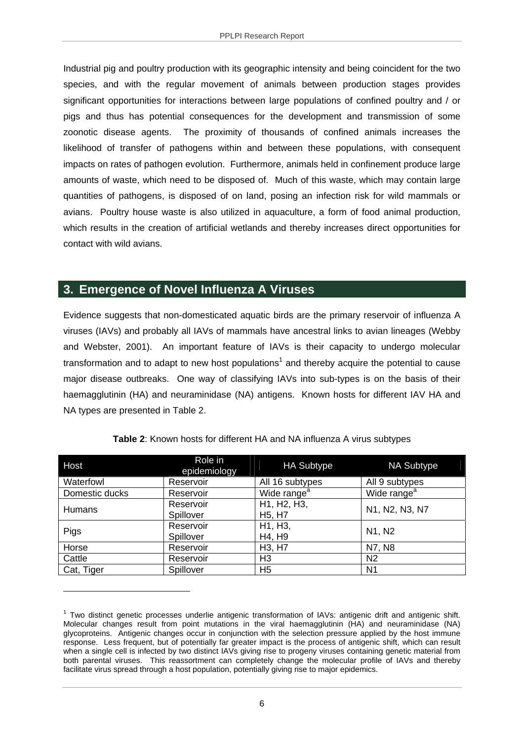Industrial pig and poultry production with its geographic intensity and being coincident for the two species, and with the regular movement of animals between production stages provides significant opportunities for interactions between large populations of confined poultry and / or pigs and thus has potential consequences for the development and transmission of some zoonotic disease agents. The proximity of thousands of confined animals increases the likelihood of transfer of pathogens within and between these populations, with consequent impacts on rates of pathogen evolution. Furthermore, animals held in confinement produce large amounts of waste, which need to be disposed of. Much of this waste, which may contain large quantities of pathogens, is disposed of on land, posing an infection risk for wild mammals or avians. Poultry house waste is also utilized in aquaculture, a form of food animal production, which results in the creation of artificial wetlands and thereby increases direct opportunities for contact with wild avians.

# **3. Emergence of Novel Influenza A Viruses**

1

Evidence suggests that non-domesticated aquatic birds are the primary reservoir of influenza A viruses (IAVs) and probably all IAVs of mammals have ancestral links to avian lineages (Webby and Webster, 2001). An important feature of IAVs is their capacity to undergo molecular transformation and to adapt to new host populations<sup>1</sup> and thereby acquire the potential to cause major disease outbreaks. One way of classifying IAVs into sub-types is on the basis of their haemagglutinin (HA) and neuraminidase (NA) antigens. Known hosts for different IAV HA and NA types are presented in Table 2.

| Host           | Role in<br>epidemiology | <b>HA Subtype</b>                              | <b>NA Subtype</b>       |
|----------------|-------------------------|------------------------------------------------|-------------------------|
| Waterfowl      | Reservoir               | All 16 subtypes                                | All 9 subtypes          |
| Domestic ducks | Reservoir               | Wide range <sup>a</sup>                        | Wide range <sup>a</sup> |
| <b>Humans</b>  | Reservoir<br>Spillover  | H1, H2, H3,<br>H <sub>5</sub> , H <sub>7</sub> | N1, N2, N3, N7          |
| Pigs           | Reservoir<br>Spillover  | H1, H3,<br>H4, H9                              | N1, N2                  |
| Horse          | Reservoir               | H <sub>3</sub> , H <sub>7</sub>                | N7, N8                  |
| Cattle         | Reservoir               | H <sub>3</sub>                                 | N <sub>2</sub>          |
| Cat, Tiger     | Spillover               | H <sub>5</sub>                                 | N <sub>1</sub>          |

#### **Table 2**: Known hosts for different HA and NA influenza A virus subtypes

<sup>&</sup>lt;sup>1</sup> Two distinct genetic processes underlie antigenic transformation of IAVs: antigenic drift and antigenic shift. Molecular changes result from point mutations in the viral haemagglutinin (HA) and neuraminidase (NA) glycoproteins. Antigenic changes occur in conjunction with the selection pressure applied by the host immune response. Less frequent, but of potentially far greater impact is the process of antigenic shift, which can result when a single cell is infected by two distinct IAVs giving rise to progeny viruses containing genetic material from both parental viruses. This reassortment can completely change the molecular profile of IAVs and thereby facilitate virus spread through a host population, potentially giving rise to major epidemics.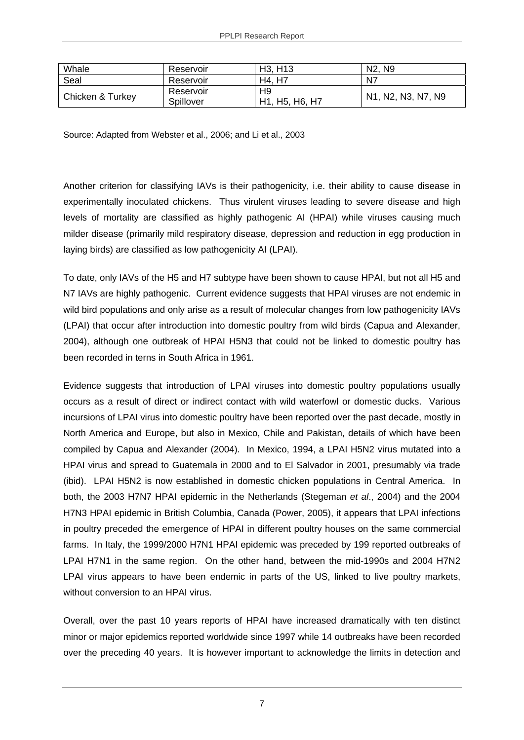| Whale            | Reservoir              | H <sub>3</sub> , H <sub>13</sub>                                        | N <sub>2</sub> , N <sub>9</sub> |
|------------------|------------------------|-------------------------------------------------------------------------|---------------------------------|
| Seal             | Reservoir              | H4, H7                                                                  | N7                              |
| Chicken & Turkey | Reservoir<br>Spillover | H9<br>H <sub>1</sub> , H <sub>5</sub> , H <sub>6</sub> , H <sub>7</sub> | N1, N2, N3, N7, N9              |

Source: Adapted from Webster et al., 2006; and Li et al., 2003

Another criterion for classifying IAVs is their pathogenicity, i.e. their ability to cause disease in experimentally inoculated chickens. Thus virulent viruses leading to severe disease and high levels of mortality are classified as highly pathogenic AI (HPAI) while viruses causing much milder disease (primarily mild respiratory disease, depression and reduction in egg production in laying birds) are classified as low pathogenicity AI (LPAI).

To date, only IAVs of the H5 and H7 subtype have been shown to cause HPAI, but not all H5 and N7 IAVs are highly pathogenic. Current evidence suggests that HPAI viruses are not endemic in wild bird populations and only arise as a result of molecular changes from low pathogenicity IAVs (LPAI) that occur after introduction into domestic poultry from wild birds (Capua and Alexander, 2004), although one outbreak of HPAI H5N3 that could not be linked to domestic poultry has been recorded in terns in South Africa in 1961.

Evidence suggests that introduction of LPAI viruses into domestic poultry populations usually occurs as a result of direct or indirect contact with wild waterfowl or domestic ducks. Various incursions of LPAI virus into domestic poultry have been reported over the past decade, mostly in North America and Europe, but also in Mexico, Chile and Pakistan, details of which have been compiled by Capua and Alexander (2004). In Mexico, 1994, a LPAI H5N2 virus mutated into a HPAI virus and spread to Guatemala in 2000 and to El Salvador in 2001, presumably via trade (ibid). LPAI H5N2 is now established in domestic chicken populations in Central America. In both, the 2003 H7N7 HPAI epidemic in the Netherlands (Stegeman *et al*., 2004) and the 2004 H7N3 HPAI epidemic in British Columbia, Canada (Power, 2005), it appears that LPAI infections in poultry preceded the emergence of HPAI in different poultry houses on the same commercial farms. In Italy, the 1999/2000 H7N1 HPAI epidemic was preceded by 199 reported outbreaks of LPAI H7N1 in the same region. On the other hand, between the mid-1990s and 2004 H7N2 LPAI virus appears to have been endemic in parts of the US, linked to live poultry markets, without conversion to an HPAI virus.

Overall, over the past 10 years reports of HPAI have increased dramatically with ten distinct minor or major epidemics reported worldwide since 1997 while 14 outbreaks have been recorded over the preceding 40 years. It is however important to acknowledge the limits in detection and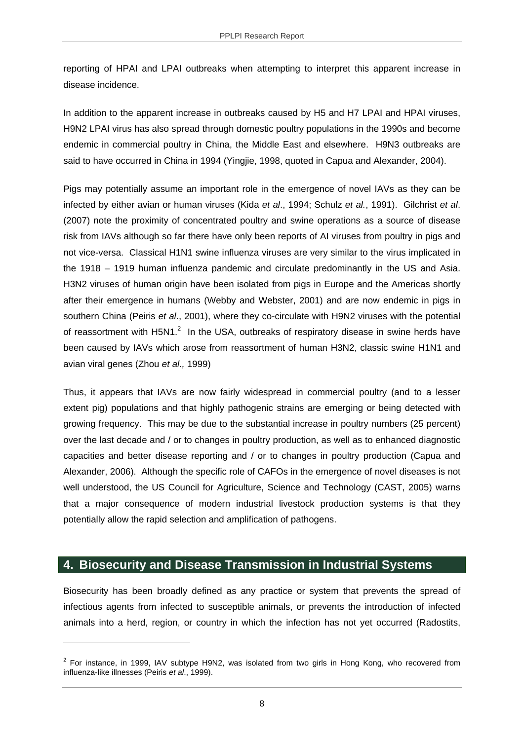reporting of HPAI and LPAI outbreaks when attempting to interpret this apparent increase in disease incidence.

In addition to the apparent increase in outbreaks caused by H5 and H7 LPAI and HPAI viruses, H9N2 LPAI virus has also spread through domestic poultry populations in the 1990s and become endemic in commercial poultry in China, the Middle East and elsewhere. H9N3 outbreaks are said to have occurred in China in 1994 (Yingjie, 1998, quoted in Capua and Alexander, 2004).

Pigs may potentially assume an important role in the emergence of novel IAVs as they can be infected by either avian or human viruses (Kida *et al*., 1994; Schulz *et al.*, 1991). Gilchrist *et al*. (2007) note the proximity of concentrated poultry and swine operations as a source of disease risk from IAVs although so far there have only been reports of AI viruses from poultry in pigs and not vice-versa. Classical H1N1 swine influenza viruses are very similar to the virus implicated in the 1918 – 1919 human influenza pandemic and circulate predominantly in the US and Asia. H3N2 viruses of human origin have been isolated from pigs in Europe and the Americas shortly after their emergence in humans (Webby and Webster, 2001) and are now endemic in pigs in southern China (Peiris *et al*., 2001), where they co-circulate with H9N2 viruses with the potential of reassortment with H5N1. $^2$  In the USA, outbreaks of respiratory disease in swine herds have been caused by IAVs which arose from reassortment of human H3N2, classic swine H1N1 and avian viral genes (Zhou *et al.,* 1999)

Thus, it appears that IAVs are now fairly widespread in commercial poultry (and to a lesser extent pig) populations and that highly pathogenic strains are emerging or being detected with growing frequency. This may be due to the substantial increase in poultry numbers (25 percent) over the last decade and / or to changes in poultry production, as well as to enhanced diagnostic capacities and better disease reporting and / or to changes in poultry production (Capua and Alexander, 2006). Although the specific role of CAFOs in the emergence of novel diseases is not well understood, the US Council for Agriculture, Science and Technology (CAST, 2005) warns that a major consequence of modern industrial livestock production systems is that they potentially allow the rapid selection and amplification of pathogens.

# **4. Biosecurity and Disease Transmission in Industrial Systems**

1

Biosecurity has been broadly defined as any practice or system that prevents the spread of infectious agents from infected to susceptible animals, or prevents the introduction of infected animals into a herd, region, or country in which the infection has not yet occurred (Radostits,

 $2$  For instance, in 1999, IAV subtype H9N2, was isolated from two girls in Hong Kong, who recovered from influenza-like illnesses (Peiris *et al*., 1999).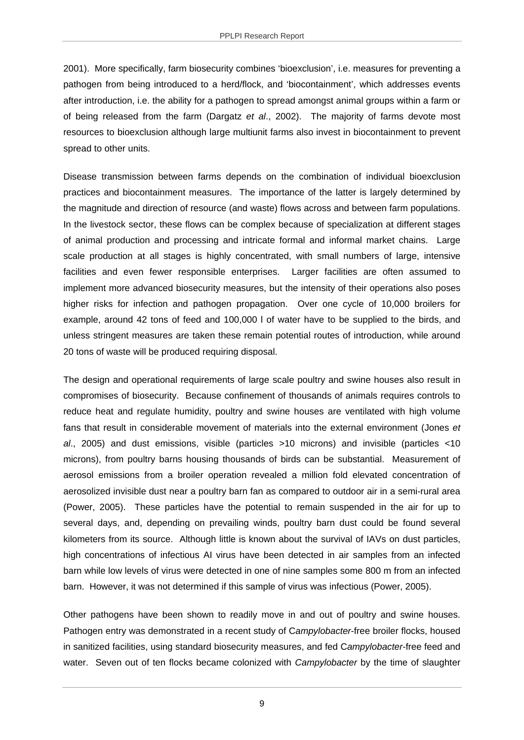2001). More specifically, farm biosecurity combines 'bioexclusion', i.e. measures for preventing a pathogen from being introduced to a herd/flock, and 'biocontainment', which addresses events after introduction, i.e. the ability for a pathogen to spread amongst animal groups within a farm or of being released from the farm (Dargatz *et al*., 2002). The majority of farms devote most resources to bioexclusion although large multiunit farms also invest in biocontainment to prevent spread to other units.

Disease transmission between farms depends on the combination of individual bioexclusion practices and biocontainment measures. The importance of the latter is largely determined by the magnitude and direction of resource (and waste) flows across and between farm populations. In the livestock sector, these flows can be complex because of specialization at different stages of animal production and processing and intricate formal and informal market chains. Large scale production at all stages is highly concentrated, with small numbers of large, intensive facilities and even fewer responsible enterprises. Larger facilities are often assumed to implement more advanced biosecurity measures, but the intensity of their operations also poses higher risks for infection and pathogen propagation. Over one cycle of 10,000 broilers for example, around 42 tons of feed and 100,000 l of water have to be supplied to the birds, and unless stringent measures are taken these remain potential routes of introduction, while around 20 tons of waste will be produced requiring disposal.

The design and operational requirements of large scale poultry and swine houses also result in compromises of biosecurity. Because confinement of thousands of animals requires controls to reduce heat and regulate humidity, poultry and swine houses are ventilated with high volume fans that result in considerable movement of materials into the external environment (Jones *et al*., 2005) and dust emissions, visible (particles >10 microns) and invisible (particles <10 microns), from poultry barns housing thousands of birds can be substantial. Measurement of aerosol emissions from a broiler operation revealed a million fold elevated concentration of aerosolized invisible dust near a poultry barn fan as compared to outdoor air in a semi-rural area (Power, 2005). These particles have the potential to remain suspended in the air for up to several days, and, depending on prevailing winds, poultry barn dust could be found several kilometers from its source. Although little is known about the survival of IAVs on dust particles, high concentrations of infectious AI virus have been detected in air samples from an infected barn while low levels of virus were detected in one of nine samples some 800 m from an infected barn. However, it was not determined if this sample of virus was infectious (Power, 2005).

Other pathogens have been shown to readily move in and out of poultry and swine houses. Pathogen entry was demonstrated in a recent study of C*ampylobacter*-free broiler flocks, housed in sanitized facilities, using standard biosecurity measures, and fed C*ampylobacter*-free feed and water. Seven out of ten flocks became colonized with *Campylobacter* by the time of slaughter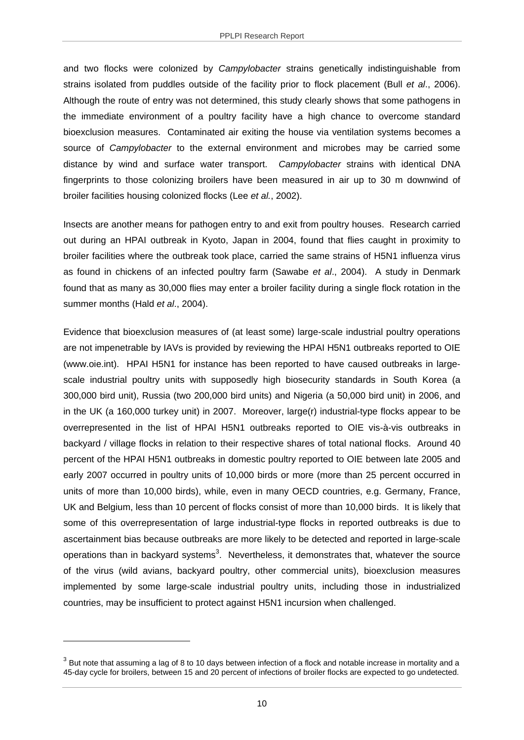and two flocks were colonized by *Campylobacter* strains genetically indistinguishable from strains isolated from puddles outside of the facility prior to flock placement (Bull *et al*., 2006). Although the route of entry was not determined, this study clearly shows that some pathogens in the immediate environment of a poultry facility have a high chance to overcome standard bioexclusion measures. Contaminated air exiting the house via ventilation systems becomes a source of *Campylobacter* to the external environment and microbes may be carried some distance by wind and surface water transport. *Campylobacter* strains with identical DNA fingerprints to those colonizing broilers have been measured in air up to 30 m downwind of broiler facilities housing colonized flocks (Lee *et al.*, 2002).

Insects are another means for pathogen entry to and exit from poultry houses. Research carried out during an HPAI outbreak in Kyoto, Japan in 2004, found that flies caught in proximity to broiler facilities where the outbreak took place, carried the same strains of H5N1 influenza virus as found in chickens of an infected poultry farm (Sawabe *et al*., 2004). A study in Denmark found that as many as 30,000 flies may enter a broiler facility during a single flock rotation in the summer months (Hald *et al*., 2004).

Evidence that bioexclusion measures of (at least some) large-scale industrial poultry operations are not impenetrable by IAVs is provided by reviewing the HPAI H5N1 outbreaks reported to OIE (www.oie.int). HPAI H5N1 for instance has been reported to have caused outbreaks in largescale industrial poultry units with supposedly high biosecurity standards in South Korea (a 300,000 bird unit), Russia (two 200,000 bird units) and Nigeria (a 50,000 bird unit) in 2006, and in the UK (a 160,000 turkey unit) in 2007. Moreover, large(r) industrial-type flocks appear to be overrepresented in the list of HPAI H5N1 outbreaks reported to OIE vis-à-vis outbreaks in backyard / village flocks in relation to their respective shares of total national flocks. Around 40 percent of the HPAI H5N1 outbreaks in domestic poultry reported to OIE between late 2005 and early 2007 occurred in poultry units of 10,000 birds or more (more than 25 percent occurred in units of more than 10,000 birds), while, even in many OECD countries, e.g. Germany, France, UK and Belgium, less than 10 percent of flocks consist of more than 10,000 birds. It is likely that some of this overrepresentation of large industrial-type flocks in reported outbreaks is due to ascertainment bias because outbreaks are more likely to be detected and reported in large-scale operations than in backyard systems<sup>3</sup>. Nevertheless, it demonstrates that, whatever the source of the virus (wild avians, backyard poultry, other commercial units), bioexclusion measures implemented by some large-scale industrial poultry units, including those in industrialized countries, may be insufficient to protect against H5N1 incursion when challenged.

 $3$  But note that assuming a lag of 8 to 10 days between infection of a flock and notable increase in mortality and a 45-day cycle for broilers, between 15 and 20 percent of infections of broiler flocks are expected to go undetected.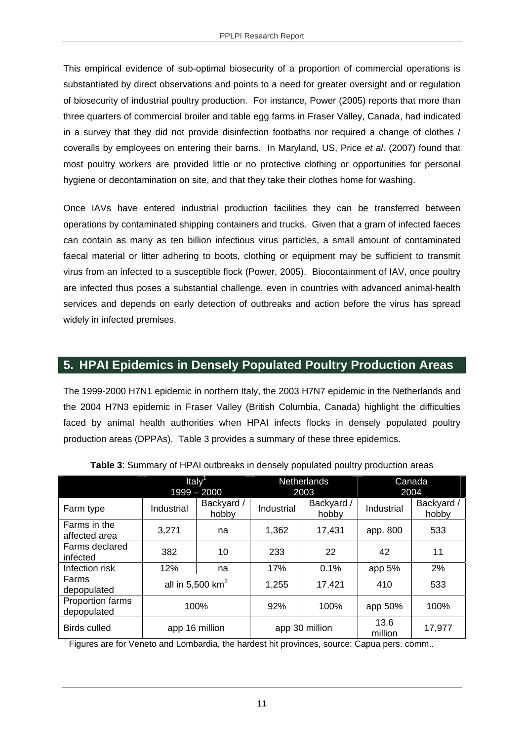This empirical evidence of sub-optimal biosecurity of a proportion of commercial operations is substantiated by direct observations and points to a need for greater oversight and or regulation of biosecurity of industrial poultry production. For instance, Power (2005) reports that more than three quarters of commercial broiler and table egg farms in Fraser Valley, Canada, had indicated in a survey that they did not provide disinfection footbaths nor required a change of clothes / coveralls by employees on entering their barns. In Maryland, US, Price *et al*. (2007) found that most poultry workers are provided little or no protective clothing or opportunities for personal hygiene or decontamination on site, and that they take their clothes home for washing.

Once IAVs have entered industrial production facilities they can be transferred between operations by contaminated shipping containers and trucks. Given that a gram of infected faeces can contain as many as ten billion infectious virus particles, a small amount of contaminated faecal material or litter adhering to boots, clothing or equipment may be sufficient to transmit virus from an infected to a susceptible flock (Power, 2005). Biocontainment of IAV, once poultry are infected thus poses a substantial challenge, even in countries with advanced animal-health services and depends on early detection of outbreaks and action before the virus has spread widely in infected premises.

# **5. HPAI Epidemics in Densely Populated Poultry Production Areas**

The 1999-2000 H7N1 epidemic in northern Italy, the 2003 H7N7 epidemic in the Netherlands and the 2004 H7N3 epidemic in Fraser Valley (British Columbia, Canada) highlight the difficulties faced by animal health authorities when HPAI infects flocks in densely populated poultry production areas (DPPAs). Table 3 provides a summary of these three epidemics.

|                                 | Italy <sup>1</sup><br>$1999 - 2000$ |                     | <b>Netherlands</b><br>2003 |                     | Canada<br>2004  |                     |
|---------------------------------|-------------------------------------|---------------------|----------------------------|---------------------|-----------------|---------------------|
| Farm type                       | Industrial                          | Backyard /<br>hobby | Industrial                 | Backyard /<br>hobby | Industrial      | Backyard /<br>hobby |
| Farms in the<br>affected area   | 3,271                               | na                  | 1,362                      | 17,431              | app. 800        | 533                 |
| Farms declared<br>infected      | 382                                 | 10                  | 233                        | 22                  | 42              | 11                  |
| Infection risk                  | 12%                                 | na                  | 17%                        | 0.1%                | app 5%          | 2%                  |
| Farms<br>depopulated            | all in 5,500 $km2$                  |                     | 1,255                      | 17,421              | 410             | 533                 |
| Proportion farms<br>depopulated | 100%                                |                     | 92%                        | 100%                | app 50%         | 100%                |
| <b>Birds culled</b>             | app 16 million                      |                     | app 30 million             |                     | 13.6<br>million | 17,977              |

**Table 3**: Summary of HPAI outbreaks in densely populated poultry production areas

<sup>1</sup> Figures are for Veneto and Lombardia, the hardest hit provinces, source: Capua pers. comm..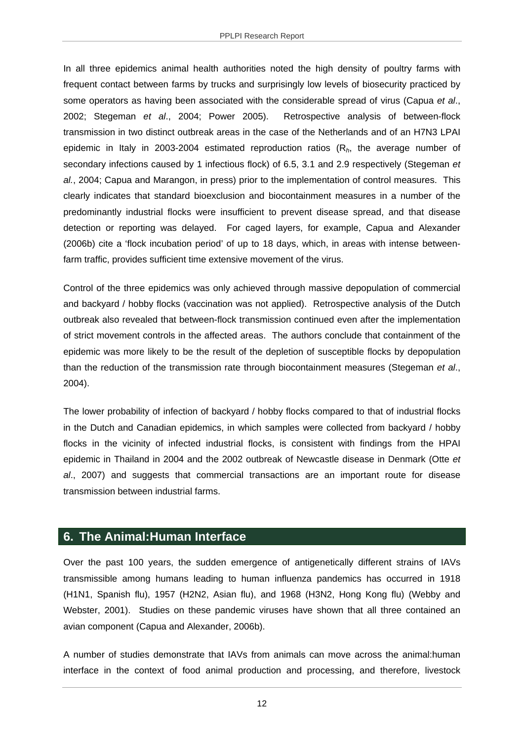In all three epidemics animal health authorities noted the high density of poultry farms with frequent contact between farms by trucks and surprisingly low levels of biosecurity practiced by some operators as having been associated with the considerable spread of virus (Capua *et al*., 2002; Stegeman *et al*., 2004; Power 2005). Retrospective analysis of between-flock transmission in two distinct outbreak areas in the case of the Netherlands and of an H7N3 LPAI epidemic in Italy in 2003-2004 estimated reproduction ratios (R*h*, the average number of secondary infections caused by 1 infectious flock) of 6.5, 3.1 and 2.9 respectively (Stegeman *et al.*, 2004; Capua and Marangon, in press) prior to the implementation of control measures. This clearly indicates that standard bioexclusion and biocontainment measures in a number of the predominantly industrial flocks were insufficient to prevent disease spread, and that disease detection or reporting was delayed. For caged layers, for example, Capua and Alexander (2006b) cite a 'flock incubation period' of up to 18 days, which, in areas with intense betweenfarm traffic, provides sufficient time extensive movement of the virus.

Control of the three epidemics was only achieved through massive depopulation of commercial and backyard / hobby flocks (vaccination was not applied). Retrospective analysis of the Dutch outbreak also revealed that between-flock transmission continued even after the implementation of strict movement controls in the affected areas. The authors conclude that containment of the epidemic was more likely to be the result of the depletion of susceptible flocks by depopulation than the reduction of the transmission rate through biocontainment measures (Stegeman *et al*., 2004).

The lower probability of infection of backyard / hobby flocks compared to that of industrial flocks in the Dutch and Canadian epidemics, in which samples were collected from backyard / hobby flocks in the vicinity of infected industrial flocks, is consistent with findings from the HPAI epidemic in Thailand in 2004 and the 2002 outbreak of Newcastle disease in Denmark (Otte *et al*., 2007) and suggests that commercial transactions are an important route for disease transmission between industrial farms.

## **6. The Animal:Human Interface**

Over the past 100 years, the sudden emergence of antigenetically different strains of IAVs transmissible among humans leading to human influenza pandemics has occurred in 1918 (H1N1, Spanish flu), 1957 (H2N2, Asian flu), and 1968 (H3N2, Hong Kong flu) (Webby and Webster, 2001). Studies on these pandemic viruses have shown that all three contained an avian component (Capua and Alexander, 2006b).

A number of studies demonstrate that IAVs from animals can move across the animal:human interface in the context of food animal production and processing, and therefore, livestock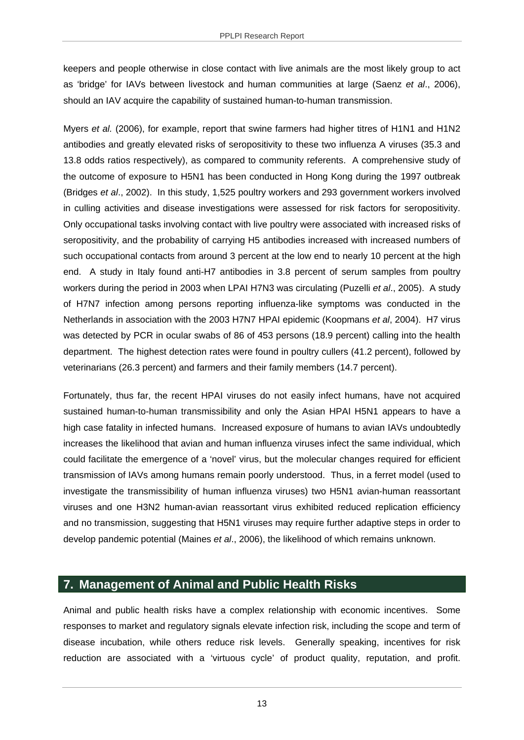keepers and people otherwise in close contact with live animals are the most likely group to act as 'bridge' for IAVs between livestock and human communities at large (Saenz *et al*., 2006), should an IAV acquire the capability of sustained human-to-human transmission.

Myers *et al.* (2006), for example, report that swine farmers had higher titres of H1N1 and H1N2 antibodies and greatly elevated risks of seropositivity to these two influenza A viruses (35.3 and 13.8 odds ratios respectively), as compared to community referents. A comprehensive study of the outcome of exposure to H5N1 has been conducted in Hong Kong during the 1997 outbreak (Bridges *et al*., 2002). In this study, 1,525 poultry workers and 293 government workers involved in culling activities and disease investigations were assessed for risk factors for seropositivity. Only occupational tasks involving contact with live poultry were associated with increased risks of seropositivity, and the probability of carrying H5 antibodies increased with increased numbers of such occupational contacts from around 3 percent at the low end to nearly 10 percent at the high end. A study in Italy found anti-H7 antibodies in 3.8 percent of serum samples from poultry workers during the period in 2003 when LPAI H7N3 was circulating (Puzelli *et al*., 2005). A study of H7N7 infection among persons reporting influenza-like symptoms was conducted in the Netherlands in association with the 2003 H7N7 HPAI epidemic (Koopmans *et al*, 2004). H7 virus was detected by PCR in ocular swabs of 86 of 453 persons (18.9 percent) calling into the health department. The highest detection rates were found in poultry cullers (41.2 percent), followed by veterinarians (26.3 percent) and farmers and their family members (14.7 percent).

Fortunately, thus far, the recent HPAI viruses do not easily infect humans, have not acquired sustained human-to-human transmissibility and only the Asian HPAI H5N1 appears to have a high case fatality in infected humans. Increased exposure of humans to avian IAVs undoubtedly increases the likelihood that avian and human influenza viruses infect the same individual, which could facilitate the emergence of a 'novel' virus, but the molecular changes required for efficient transmission of IAVs among humans remain poorly understood. Thus, in a ferret model (used to investigate the transmissibility of human influenza viruses) two H5N1 avian-human reassortant viruses and one H3N2 human-avian reassortant virus exhibited reduced replication efficiency and no transmission, suggesting that H5N1 viruses may require further adaptive steps in order to develop pandemic potential (Maines *et al*., 2006), the likelihood of which remains unknown.

## **7. Management of Animal and Public Health Risks**

Animal and public health risks have a complex relationship with economic incentives. Some responses to market and regulatory signals elevate infection risk, including the scope and term of disease incubation, while others reduce risk levels. Generally speaking, incentives for risk reduction are associated with a 'virtuous cycle' of product quality, reputation, and profit.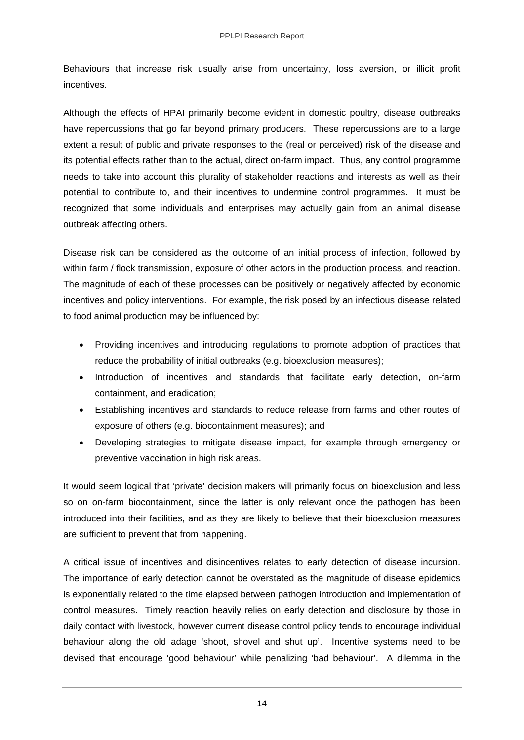Behaviours that increase risk usually arise from uncertainty, loss aversion, or illicit profit **incentives** 

Although the effects of HPAI primarily become evident in domestic poultry, disease outbreaks have repercussions that go far beyond primary producers. These repercussions are to a large extent a result of public and private responses to the (real or perceived) risk of the disease and its potential effects rather than to the actual, direct on-farm impact. Thus, any control programme needs to take into account this plurality of stakeholder reactions and interests as well as their potential to contribute to, and their incentives to undermine control programmes. It must be recognized that some individuals and enterprises may actually gain from an animal disease outbreak affecting others.

Disease risk can be considered as the outcome of an initial process of infection, followed by within farm / flock transmission, exposure of other actors in the production process, and reaction. The magnitude of each of these processes can be positively or negatively affected by economic incentives and policy interventions. For example, the risk posed by an infectious disease related to food animal production may be influenced by:

- Providing incentives and introducing regulations to promote adoption of practices that reduce the probability of initial outbreaks (e.g. bioexclusion measures);
- Introduction of incentives and standards that facilitate early detection, on-farm containment, and eradication;
- Establishing incentives and standards to reduce release from farms and other routes of exposure of others (e.g. biocontainment measures); and
- Developing strategies to mitigate disease impact, for example through emergency or preventive vaccination in high risk areas.

It would seem logical that 'private' decision makers will primarily focus on bioexclusion and less so on on-farm biocontainment, since the latter is only relevant once the pathogen has been introduced into their facilities, and as they are likely to believe that their bioexclusion measures are sufficient to prevent that from happening.

A critical issue of incentives and disincentives relates to early detection of disease incursion. The importance of early detection cannot be overstated as the magnitude of disease epidemics is exponentially related to the time elapsed between pathogen introduction and implementation of control measures. Timely reaction heavily relies on early detection and disclosure by those in daily contact with livestock, however current disease control policy tends to encourage individual behaviour along the old adage 'shoot, shovel and shut up'. Incentive systems need to be devised that encourage 'good behaviour' while penalizing 'bad behaviour'. A dilemma in the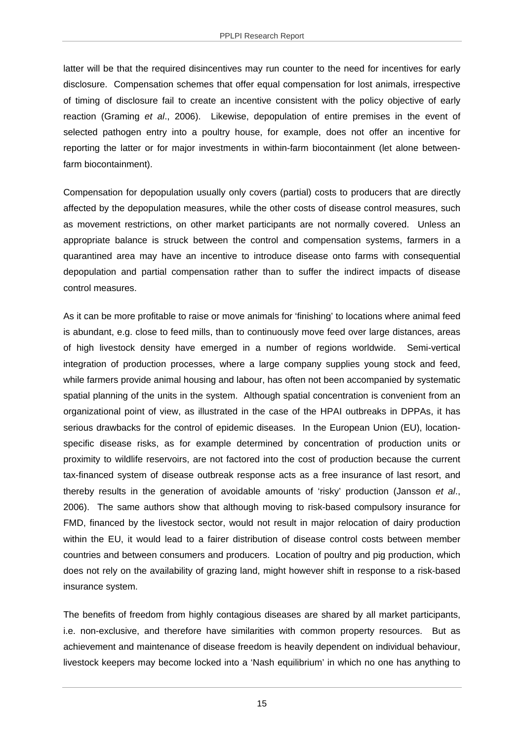latter will be that the required disincentives may run counter to the need for incentives for early disclosure. Compensation schemes that offer equal compensation for lost animals, irrespective of timing of disclosure fail to create an incentive consistent with the policy objective of early reaction (Graming *et al*., 2006). Likewise, depopulation of entire premises in the event of selected pathogen entry into a poultry house, for example, does not offer an incentive for reporting the latter or for major investments in within-farm biocontainment (let alone betweenfarm biocontainment).

Compensation for depopulation usually only covers (partial) costs to producers that are directly affected by the depopulation measures, while the other costs of disease control measures, such as movement restrictions, on other market participants are not normally covered. Unless an appropriate balance is struck between the control and compensation systems, farmers in a quarantined area may have an incentive to introduce disease onto farms with consequential depopulation and partial compensation rather than to suffer the indirect impacts of disease control measures.

As it can be more profitable to raise or move animals for 'finishing' to locations where animal feed is abundant, e.g. close to feed mills, than to continuously move feed over large distances, areas of high livestock density have emerged in a number of regions worldwide. Semi-vertical integration of production processes, where a large company supplies young stock and feed, while farmers provide animal housing and labour, has often not been accompanied by systematic spatial planning of the units in the system. Although spatial concentration is convenient from an organizational point of view, as illustrated in the case of the HPAI outbreaks in DPPAs, it has serious drawbacks for the control of epidemic diseases. In the European Union (EU), locationspecific disease risks, as for example determined by concentration of production units or proximity to wildlife reservoirs, are not factored into the cost of production because the current tax-financed system of disease outbreak response acts as a free insurance of last resort, and thereby results in the generation of avoidable amounts of 'risky' production (Jansson *et al*., 2006). The same authors show that although moving to risk-based compulsory insurance for FMD, financed by the livestock sector, would not result in major relocation of dairy production within the EU, it would lead to a fairer distribution of disease control costs between member countries and between consumers and producers. Location of poultry and pig production, which does not rely on the availability of grazing land, might however shift in response to a risk-based insurance system.

The benefits of freedom from highly contagious diseases are shared by all market participants, i.e. non-exclusive, and therefore have similarities with common property resources. But as achievement and maintenance of disease freedom is heavily dependent on individual behaviour, livestock keepers may become locked into a 'Nash equilibrium' in which no one has anything to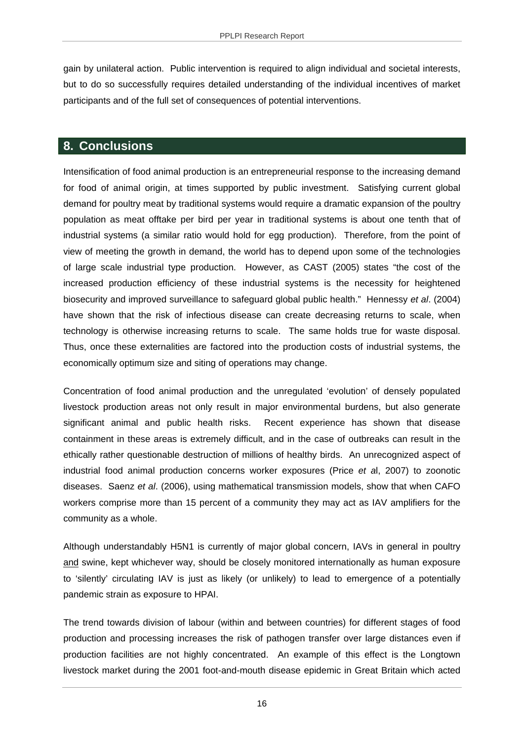gain by unilateral action. Public intervention is required to align individual and societal interests, but to do so successfully requires detailed understanding of the individual incentives of market participants and of the full set of consequences of potential interventions.

# **8. Conclusions**

Intensification of food animal production is an entrepreneurial response to the increasing demand for food of animal origin, at times supported by public investment. Satisfying current global demand for poultry meat by traditional systems would require a dramatic expansion of the poultry population as meat offtake per bird per year in traditional systems is about one tenth that of industrial systems (a similar ratio would hold for egg production). Therefore, from the point of view of meeting the growth in demand, the world has to depend upon some of the technologies of large scale industrial type production. However, as CAST (2005) states "the cost of the increased production efficiency of these industrial systems is the necessity for heightened biosecurity and improved surveillance to safeguard global public health." Hennessy *et al*. (2004) have shown that the risk of infectious disease can create decreasing returns to scale, when technology is otherwise increasing returns to scale. The same holds true for waste disposal. Thus, once these externalities are factored into the production costs of industrial systems, the economically optimum size and siting of operations may change.

Concentration of food animal production and the unregulated 'evolution' of densely populated livestock production areas not only result in major environmental burdens, but also generate significant animal and public health risks. Recent experience has shown that disease containment in these areas is extremely difficult, and in the case of outbreaks can result in the ethically rather questionable destruction of millions of healthy birds. An unrecognized aspect of industrial food animal production concerns worker exposures (Price *et a*l, 2007) to zoonotic diseases. Saenz *et al*. (2006), using mathematical transmission models, show that when CAFO workers comprise more than 15 percent of a community they may act as IAV amplifiers for the community as a whole.

Although understandably H5N1 is currently of major global concern, IAVs in general in poultry and swine, kept whichever way, should be closely monitored internationally as human exposure to 'silently' circulating IAV is just as likely (or unlikely) to lead to emergence of a potentially pandemic strain as exposure to HPAI.

The trend towards division of labour (within and between countries) for different stages of food production and processing increases the risk of pathogen transfer over large distances even if production facilities are not highly concentrated. An example of this effect is the Longtown livestock market during the 2001 foot-and-mouth disease epidemic in Great Britain which acted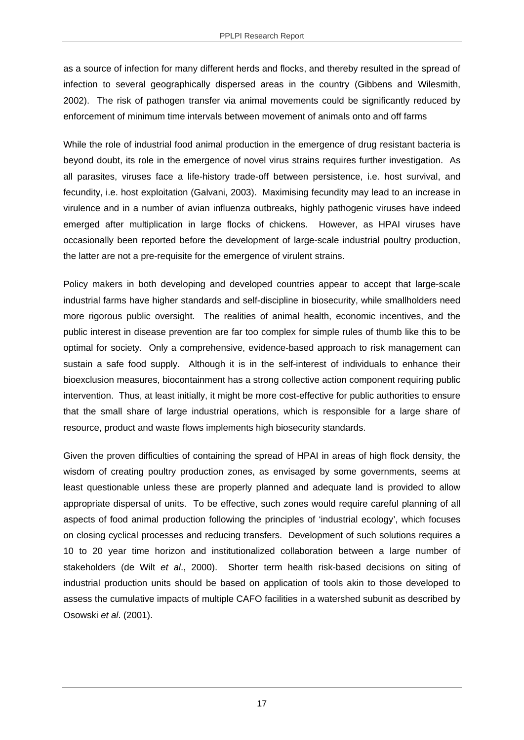as a source of infection for many different herds and flocks, and thereby resulted in the spread of infection to several geographically dispersed areas in the country (Gibbens and Wilesmith, 2002). The risk of pathogen transfer via animal movements could be significantly reduced by enforcement of minimum time intervals between movement of animals onto and off farms

While the role of industrial food animal production in the emergence of drug resistant bacteria is beyond doubt, its role in the emergence of novel virus strains requires further investigation. As all parasites, viruses face a life-history trade-off between persistence, i.e. host survival, and fecundity, i.e. host exploitation (Galvani, 2003). Maximising fecundity may lead to an increase in virulence and in a number of avian influenza outbreaks, highly pathogenic viruses have indeed emerged after multiplication in large flocks of chickens. However, as HPAI viruses have occasionally been reported before the development of large-scale industrial poultry production, the latter are not a pre-requisite for the emergence of virulent strains.

Policy makers in both developing and developed countries appear to accept that large-scale industrial farms have higher standards and self-discipline in biosecurity, while smallholders need more rigorous public oversight. The realities of animal health, economic incentives, and the public interest in disease prevention are far too complex for simple rules of thumb like this to be optimal for society. Only a comprehensive, evidence-based approach to risk management can sustain a safe food supply. Although it is in the self-interest of individuals to enhance their bioexclusion measures, biocontainment has a strong collective action component requiring public intervention. Thus, at least initially, it might be more cost-effective for public authorities to ensure that the small share of large industrial operations, which is responsible for a large share of resource, product and waste flows implements high biosecurity standards.

Given the proven difficulties of containing the spread of HPAI in areas of high flock density, the wisdom of creating poultry production zones, as envisaged by some governments, seems at least questionable unless these are properly planned and adequate land is provided to allow appropriate dispersal of units. To be effective, such zones would require careful planning of all aspects of food animal production following the principles of 'industrial ecology', which focuses on closing cyclical processes and reducing transfers. Development of such solutions requires a 10 to 20 year time horizon and institutionalized collaboration between a large number of stakeholders (de Wilt *et al*., 2000). Shorter term health risk-based decisions on siting of industrial production units should be based on application of tools akin to those developed to assess the cumulative impacts of multiple CAFO facilities in a watershed subunit as described by Osowski *et al*. (2001).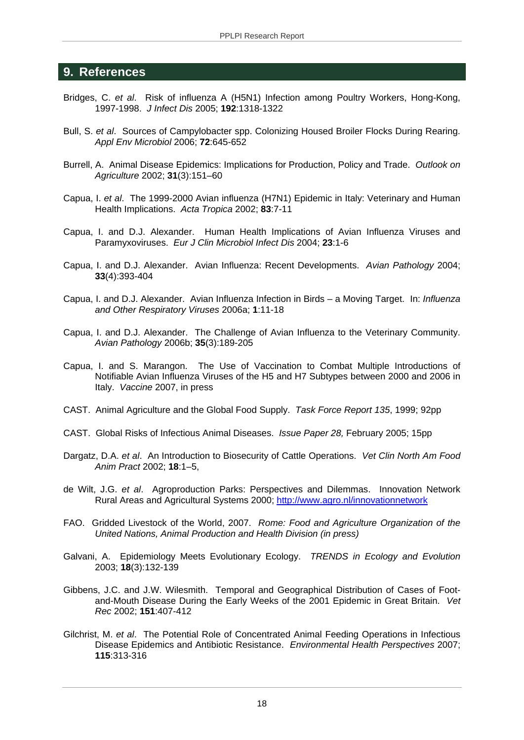#### **9. References**

- Bridges, C. *et al*. Risk of influenza A (H5N1) Infection among Poultry Workers, Hong-Kong, 1997-1998. *J Infect Dis* 2005; **192**:1318-1322
- Bull, S. *et al*. Sources of Campylobacter spp. Colonizing Housed Broiler Flocks During Rearing. *Appl Env Microbiol* 2006; **72**:645-652
- Burrell, A. Animal Disease Epidemics: Implications for Production, Policy and Trade. *Outlook on Agriculture* 2002; **31**(3):151–60
- Capua, I. *et al*. The 1999-2000 Avian influenza (H7N1) Epidemic in Italy: Veterinary and Human Health Implications. *Acta Tropica* 2002; **83**:7-11
- Capua, I. and D.J. Alexander. Human Health Implications of Avian Influenza Viruses and Paramyxoviruses. *Eur J Clin Microbiol Infect Dis* 2004; **23**:1-6
- Capua, I. and D.J. Alexander. Avian Influenza: Recent Developments. *Avian Pathology* 2004; **33**(4):393-404
- Capua, I. and D.J. Alexander. Avian Influenza Infection in Birds a Moving Target. In: *Influenza and Other Respiratory Viruses* 2006a; **1**:11-18
- Capua, I. and D.J. Alexander. The Challenge of Avian Influenza to the Veterinary Community. *Avian Pathology* 2006b; **35**(3):189-205
- Capua, I. and S. Marangon. The Use of Vaccination to Combat Multiple Introductions of Notifiable Avian Influenza Viruses of the H5 and H7 Subtypes between 2000 and 2006 in Italy. *Vaccine* 2007, in press
- CAST. Animal Agriculture and the Global Food Supply. *Task Force Report 135*, 1999; 92pp
- CAST. Global Risks of Infectious Animal Diseases. *Issue Paper 28,* February 2005; 15pp
- Dargatz, D.A. *et al*. An Introduction to Biosecurity of Cattle Operations. *Vet Clin North Am Food Anim Pract* 2002; **18**:1–5,
- de Wilt, J.G. *et al*. Agroproduction Parks: Perspectives and Dilemmas. Innovation Network Rural Areas and Agricultural Systems 2000; http://www.agro.nl/innovationnetwork
- FAO. Gridded Livestock of the World, 2007. *Rome: Food and Agriculture Organization of the United Nations, Animal Production and Health Division (in press)*
- Galvani, A. Epidemiology Meets Evolutionary Ecology. *TRENDS in Ecology and Evolution* 2003; **18**(3):132-139
- Gibbens, J.C. and J.W. Wilesmith. Temporal and Geographical Distribution of Cases of Footand-Mouth Disease During the Early Weeks of the 2001 Epidemic in Great Britain. *Vet Rec* 2002; **151**:407-412
- Gilchrist, M. *et al*. The Potential Role of Concentrated Animal Feeding Operations in Infectious Disease Epidemics and Antibiotic Resistance. *Environmental Health Perspectives* 2007; **115**:313-316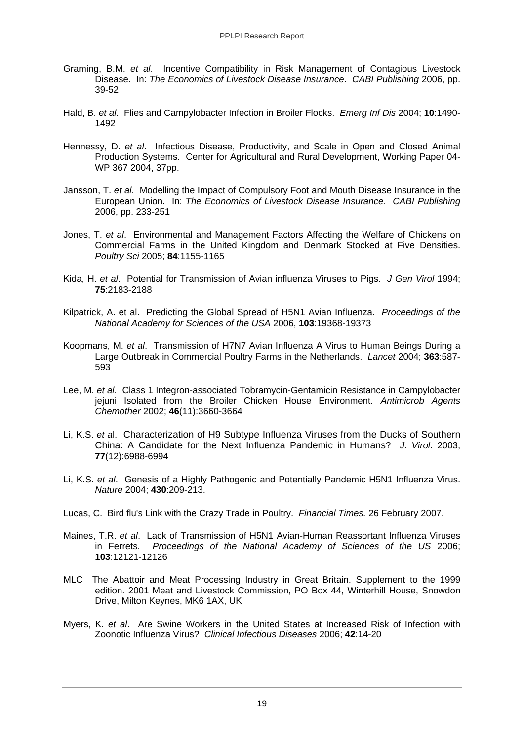- Graming, B.M. *et al*. Incentive Compatibility in Risk Management of Contagious Livestock Disease. In: *The Economics of Livestock Disease Insurance*. *CABI Publishing* 2006, pp. 39-52
- Hald, B. *et al*. Flies and Campylobacter Infection in Broiler Flocks. *Emerg Inf Dis* 2004; **10**:1490- 1492
- Hennessy, D. *et al*. Infectious Disease, Productivity, and Scale in Open and Closed Animal Production Systems. Center for Agricultural and Rural Development, Working Paper 04- WP 367 2004, 37pp.
- Jansson, T. *et al*. Modelling the Impact of Compulsory Foot and Mouth Disease Insurance in the European Union. In: *The Economics of Livestock Disease Insurance*. *CABI Publishing* 2006, pp. 233-251
- Jones, T. *et al*. Environmental and Management Factors Affecting the Welfare of Chickens on Commercial Farms in the United Kingdom and Denmark Stocked at Five Densities. *Poultry Sci* 2005; **84**:1155-1165
- Kida, H. *et al*. Potential for Transmission of Avian influenza Viruses to Pigs. *J Gen Virol* 1994; **75**:2183-2188
- Kilpatrick, A. et al. Predicting the Global Spread of H5N1 Avian Influenza. *Proceedings of the National Academy for Sciences of the USA* 2006, **103**:19368-19373
- Koopmans, M. *et al*. Transmission of H7N7 Avian Influenza A Virus to Human Beings During a Large Outbreak in Commercial Poultry Farms in the Netherlands. *Lancet* 2004; **363**:587- 593
- Lee, M. *et al*. Class 1 Integron-associated Tobramycin-Gentamicin Resistance in Campylobacter jejuni Isolated from the Broiler Chicken House Environment. *Antimicrob Agents Chemother* 2002; **46**(11):3660-3664
- Li, K.S. *et a*l. Characterization of H9 Subtype Influenza Viruses from the Ducks of Southern China: A Candidate for the Next Influenza Pandemic in Humans? *J. Virol*. 2003; **77**(12):6988-6994
- Li, K.S. *et al*. Genesis of a Highly Pathogenic and Potentially Pandemic H5N1 Influenza Virus. *Nature* 2004; **430**:209-213.
- Lucas, C. Bird flu's Link with the Crazy Trade in Poultry. *Financial Times.* 26 February 2007.
- Maines, T.R. *et al*. Lack of Transmission of H5N1 Avian-Human Reassortant Influenza Viruses in Ferrets. *Proceedings of the National Academy of Sciences of the US* 2006; **103**:12121-12126
- MLC The Abattoir and Meat Processing Industry in Great Britain. Supplement to the 1999 edition. 2001 Meat and Livestock Commission, PO Box 44, Winterhill House, Snowdon Drive, Milton Keynes, MK6 1AX, UK
- Myers, K. *et al*. Are Swine Workers in the United States at Increased Risk of Infection with Zoonotic Influenza Virus? *Clinical Infectious Diseases* 2006; **42**:14-20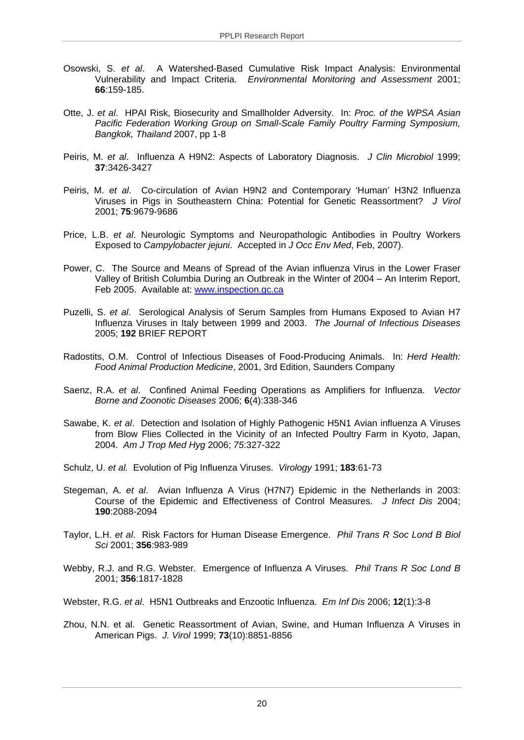- Osowski, S. *et al*. A Watershed-Based Cumulative Risk Impact Analysis: Environmental Vulnerability and Impact Criteria. *Environmental Monitoring and Assessment* 2001; **66**:159-185.
- Otte, J. *et al*. HPAI Risk, Biosecurity and Smallholder Adversity. In: *Proc. of the WPSA Asian Pacific Federation Working Group on Small-Scale Family Poultry Farming Symposium, Bangkok, Thailand* 2007, pp 1-8
- Peiris, M. *et al*. Influenza A H9N2: Aspects of Laboratory Diagnosis. *J Clin Microbiol* 1999; **37**:3426-3427
- Peiris, M. *et al*. Co-circulation of Avian H9N2 and Contemporary 'Human' H3N2 Influenza Viruses in Pigs in Southeastern China: Potential for Genetic Reassortment? *J Virol* 2001; **75**:9679-9686
- Price, L.B. *et al*. Neurologic Symptoms and Neuropathologic Antibodies in Poultry Workers Exposed to *Campylobacter jejuni*. Accepted in *J Occ Env Med*, Feb, 2007).
- Power, C. The Source and Means of Spread of the Avian influenza Virus in the Lower Fraser Valley of British Columbia During an Outbreak in the Winter of 2004 – An Interim Report, Feb 2005. Available at: www.inspection.gc.ca
- Puzelli, S. *et al*. Serological Analysis of Serum Samples from Humans Exposed to Avian H7 Influenza Viruses in Italy between 1999 and 2003. *The Journal of Infectious Diseases* 2005; **192** BRIEF REPORT
- Radostits, O.M. Control of Infectious Diseases of Food-Producing Animals. In: *Herd Health: Food Animal Production Medicine*, 2001, 3rd Edition, Saunders Company
- Saenz, R.A. *et al*. Confined Animal Feeding Operations as Amplifiers for Influenza. *Vector Borne and Zoonotic Diseases* 2006; **6**(4):338-346
- Sawabe, K. *et al*. Detection and Isolation of Highly Pathogenic H5N1 Avian influenza A Viruses from Blow Flies Collected in the Vicinity of an Infected Poultry Farm in Kyoto, Japan, 2004. *Am J Trop Med Hyg* 2006; *75*:327-322
- Schulz, U. *et al.* Evolution of Pig Influenza Viruses. *Virology* 1991; **183**:61-73
- Stegeman, A. *et al*. Avian Influenza A Virus (H7N7) Epidemic in the Netherlands in 2003: Course of the Epidemic and Effectiveness of Control Measures. *J Infect Dis* 2004; **190**:2088-2094
- Taylor, L.H. *et al*. Risk Factors for Human Disease Emergence. *Phil Trans R Soc Lond B Biol Sci* 2001; **356**:983-989
- Webby, R.J. and R.G. Webster. Emergence of Influenza A Viruses. *Phil Trans R Soc Lond B* 2001; **356**:1817-1828
- Webster, R.G. *et al*. H5N1 Outbreaks and Enzootic Influenza. *Em Inf Dis* 2006; **12**(1):3-8
- Zhou, N.N. et al. Genetic Reassortment of Avian, Swine, and Human Influenza A Viruses in American Pigs. *J. Virol* 1999; **73**(10):8851-8856